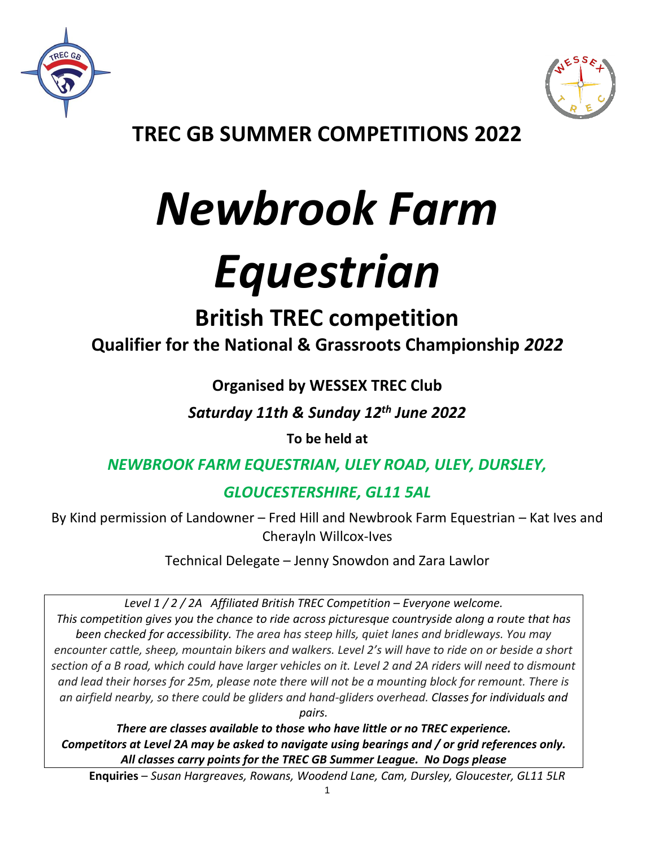



**TREC GB SUMMER COMPETITIONS 2022**

# *Newbrook Farm*

# *Equestrian*

# **British TREC competition**

**Qualifier for the National & Grassroots Championship** *2022*

### **Organised by WESSEX TREC Club**

*Saturday 11th & Sunday 12th June 2022*

**To be held at**

### *NEWBROOK FARM EQUESTRIAN, ULEY ROAD, ULEY, DURSLEY,*

## *GLOUCESTERSHIRE, GL11 5AL*

By Kind permission of Landowner – Fred Hill and Newbrook Farm Equestrian – Kat Ives and Cherayln Willcox-Ives

Technical Delegate – Jenny Snowdon and Zara Lawlor

*Level 1 / 2 / 2A Affiliated British TREC Competition – Everyone welcome. This competition gives you the chance to ride across picturesque countryside along a route that has been checked for accessibility. The area has steep hills, quiet lanes and bridleways. You may encounter cattle, sheep, mountain bikers and walkers. Level 2's will have to ride on or beside a short section of a B road, which could have larger vehicles on it. Level 2 and 2A riders will need to dismount and lead their horses for 25m, please note there will not be a mounting block for remount. There is an airfield nearby, so there could be gliders and hand-gliders overhead. Classes for individuals and pairs.* 

*There are classes available to those who have little or no TREC experience. Competitors at Level 2A may be asked to navigate using bearings and / or grid references only. All classes carry points for the TREC GB Summer League. No Dogs please*

**Enquiries** – *Susan Hargreaves, Rowans, Woodend Lane, Cam, Dursley, Gloucester, GL11 5LR*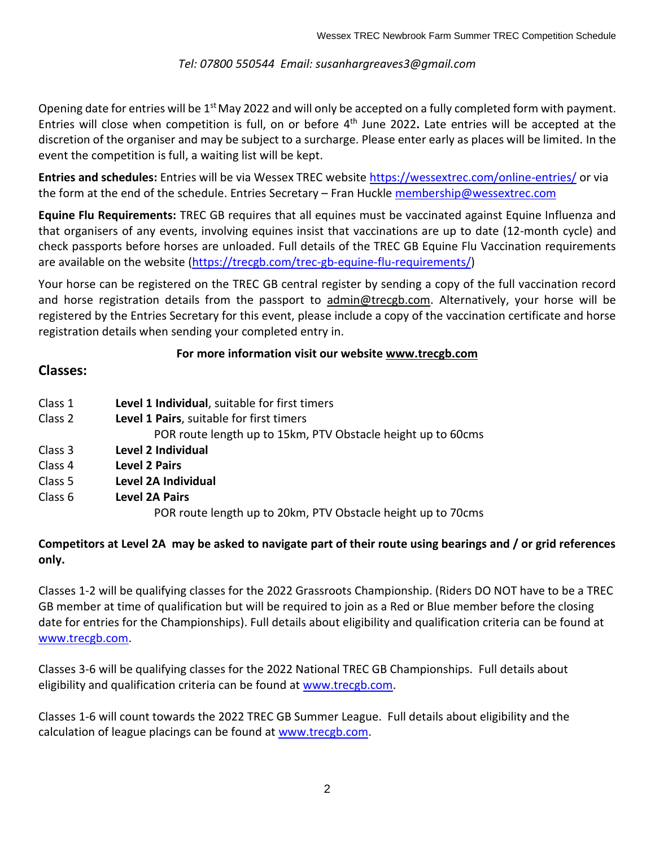#### *Tel: 07800 550544 Email: susanhargreaves3@gmail.com*

Opening date for entries will be 1<sup>st</sup> May 2022 and will only be accepted on a fully completed form with payment. Entries will close when competition is full, on or before 4<sup>th</sup> June 2022. Late entries will be accepted at the discretion of the organiser and may be subject to a surcharge. Please enter early as places will be limited. In the event the competition is full, a waiting list will be kept.

**Entries and schedules:** Entries will be via Wessex TREC website <https://wessextrec.com/online-entries/> or via the form at the end of the schedule. Entries Secretary - Fran Huckle [membership@wessextrec.com](mailto:membership@wessextrec.com)

**Equine Flu Requirements:** TREC GB requires that all equines must be vaccinated against Equine Influenza and that organisers of any events, involving equines insist that vaccinations are up to date (12-month cycle) and check passports before horses are unloaded. Full details of the TREC GB Equine Flu Vaccination requirements are available on the website [\(https://trecgb.com/trec-gb-equine-flu-requirements/\)](https://trecgb.com/trec-gb-equine-flu-requirements/)

Your horse can be registered on the TREC GB central register by sending a copy of the full vaccination record and horse registration details from the passport to [admin@trecgb.com.](about:blank) Alternatively, your horse will be registered by the Entries Secretary for this event, please include a copy of the vaccination certificate and horse registration details when sending your completed entry in.

#### **For more information visit our website [www.trecgb.com](about:blank)**

#### **Classes:**

| Class 1 | Level 1 Individual, suitable for first timers                |
|---------|--------------------------------------------------------------|
| Class 2 | Level 1 Pairs, suitable for first timers                     |
|         | POR route length up to 15km, PTV Obstacle height up to 60cms |
| Class 3 | Level 2 Individual                                           |
| Class 4 | <b>Level 2 Pairs</b>                                         |
| Class 5 | Level 2A Individual                                          |
| Class 6 | <b>Level 2A Pairs</b>                                        |
|         | POR route length up to 20km, PTV Obstacle height up to 70cms |

#### **Competitors at Level 2A may be asked to navigate part of their route using bearings and / or grid references only.**

Classes 1-2 will be qualifying classes for the 2022 Grassroots Championship. (Riders DO NOT have to be a TREC GB member at time of qualification but will be required to join as a Red or Blue member before the closing date for entries for the Championships). Full details about eligibility and qualification criteria can be found at [www.trecgb.com.](http://www.trecgb.com/)

Classes 3-6 will be qualifying classes for the 2022 National TREC GB Championships. Full details about eligibility and qualification criteria can be found at [www.trecgb.com.](http://www.trecgb.com/)

Classes 1-6 will count towards the 2022 TREC GB Summer League. Full details about eligibility and the calculation of league placings can be found at [www.trecgb.com.](http://www.trecgb.com/)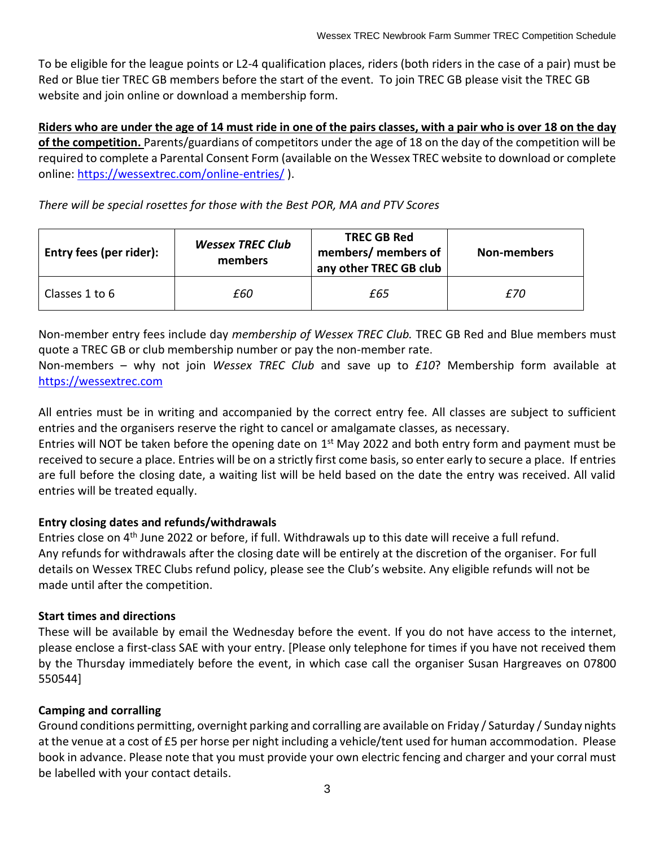To be eligible for the league points or L2-4 qualification places, riders (both riders in the case of a pair) must be Red or Blue tier TREC GB members before the start of the event. To join TREC GB please visit the TREC GB website and join online or download a membership form.

**Riders who are under the age of 14 must ride in one of the pairs classes, with a pair who is over 18 on the day of the competition.** Parents/guardians of competitors under the age of 18 on the day of the competition will be required to complete a Parental Consent Form (available on the Wessex TREC website to download or complete online:<https://wessextrec.com/online-entries/> ).

*There will be special rosettes for those with the Best POR, MA and PTV Scores* 

| Entry fees (per rider): | <b>Wessex TREC Club</b><br>members | <b>TREC GB Red</b><br>members/ members of<br>any other TREC GB club | Non-members |
|-------------------------|------------------------------------|---------------------------------------------------------------------|-------------|
| Classes 1 to 6          | £60                                | £65                                                                 | £70         |

Non-member entry fees include day *membership of Wessex TREC Club.* TREC GB Red and Blue members must quote a TREC GB or club membership number or pay the non-member rate.

Non-members – why not join *Wessex TREC Club* and save up to *£10*? Membership form available at [https://wessextrec.com](https://wessextrec.com/)

All entries must be in writing and accompanied by the correct entry fee. All classes are subject to sufficient entries and the organisers reserve the right to cancel or amalgamate classes, as necessary.

Entries will NOT be taken before the opening date on 1<sup>st</sup> May 2022 and both entry form and payment must be received to secure a place. Entries will be on a strictly first come basis, so enter early to secure a place. If entries are full before the closing date, a waiting list will be held based on the date the entry was received. All valid entries will be treated equally.

#### **Entry closing dates and refunds/withdrawals**

Entries close on 4<sup>th</sup> June 2022 or before, if full. Withdrawals up to this date will receive a full refund. Any refunds for withdrawals after the closing date will be entirely at the discretion of the organiser. For full details on Wessex TREC Clubs refund policy, please see the Club's website. Any eligible refunds will not be made until after the competition.

#### **Start times and directions**

These will be available by email the Wednesday before the event. If you do not have access to the internet, please enclose a first-class SAE with your entry. [Please only telephone for times if you have not received them by the Thursday immediately before the event, in which case call the organiser Susan Hargreaves on 07800 550544]

#### **Camping and corralling**

Ground conditions permitting, overnight parking and corralling are available on Friday / Saturday / Sunday nights at the venue at a cost of £5 per horse per night including a vehicle/tent used for human accommodation. Please book in advance. Please note that you must provide your own electric fencing and charger and your corral must be labelled with your contact details.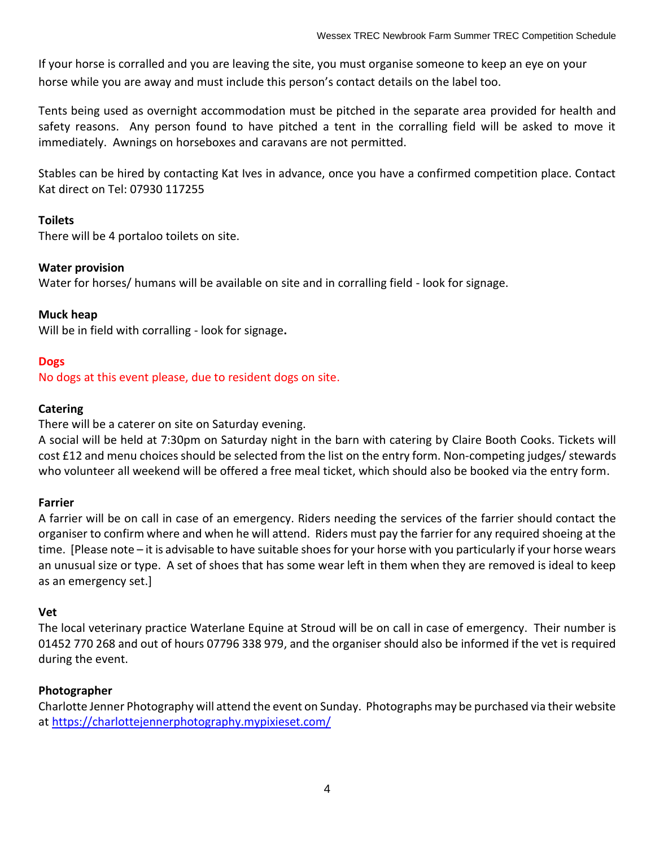If your horse is corralled and you are leaving the site, you must organise someone to keep an eye on your horse while you are away and must include this person's contact details on the label too.

Tents being used as overnight accommodation must be pitched in the separate area provided for health and safety reasons. Any person found to have pitched a tent in the corralling field will be asked to move it immediately. Awnings on horseboxes and caravans are not permitted.

Stables can be hired by contacting Kat Ives in advance, once you have a confirmed competition place. Contact Kat direct on Tel: 07930 117255

#### **Toilets**

There will be 4 portaloo toilets on site.

#### **Water provision**

Water for horses/ humans will be available on site and in corralling field - look for signage.

#### **Muck heap**

Will be in field with corralling - look for signage**.**

#### **Dogs**

No dogs at this event please, due to resident dogs on site.

#### **Catering**

There will be a caterer on site on Saturday evening.

A social will be held at 7:30pm on Saturday night in the barn with catering by Claire Booth Cooks. Tickets will cost £12 and menu choices should be selected from the list on the entry form. Non-competing judges/ stewards who volunteer all weekend will be offered a free meal ticket, which should also be booked via the entry form.

#### **Farrier**

A farrier will be on call in case of an emergency. Riders needing the services of the farrier should contact the organiser to confirm where and when he will attend. Riders must pay the farrier for any required shoeing at the time. [Please note – it is advisable to have suitable shoes for your horse with you particularly if your horse wears an unusual size or type. A set of shoes that has some wear left in them when they are removed is ideal to keep as an emergency set.]

#### **Vet**

The local veterinary practice Waterlane Equine at Stroud will be on call in case of emergency. Their number is 01452 770 268 and out of hours 07796 338 979, and the organiser should also be informed if the vet is required during the event.

#### **Photographer**

Charlotte Jenner Photography will attend the event on Sunday. Photographs may be purchased via their website at<https://charlottejennerphotography.mypixieset.com/>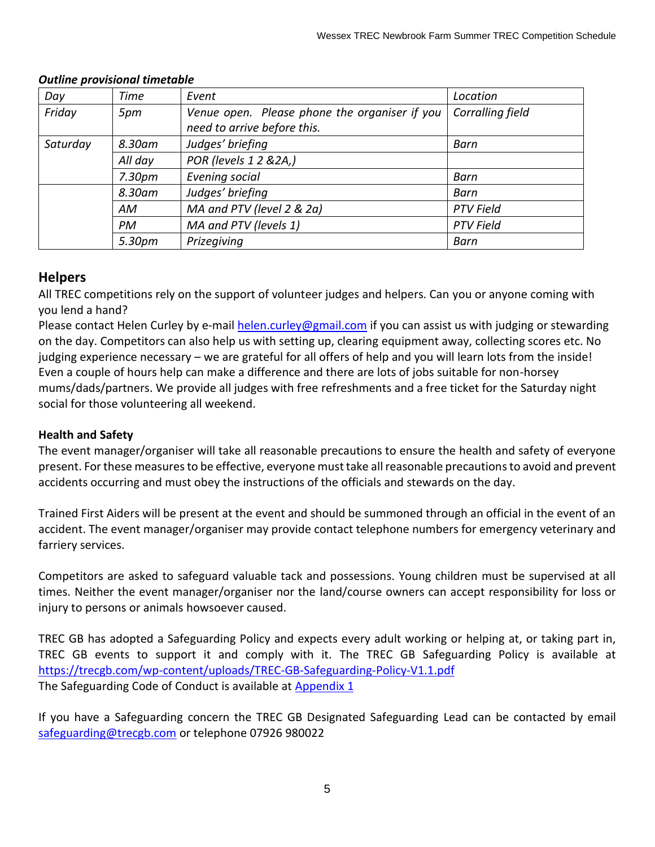| Day      | <b>Time</b> | Event                                         | Location         |
|----------|-------------|-----------------------------------------------|------------------|
| Friday   | 5pm         | Venue open. Please phone the organiser if you | Corralling field |
|          |             | need to arrive before this.                   |                  |
| Saturday | 8.30am      | Judges' briefing                              | Barn             |
|          | All day     | POR (levels 1 2 & 2A,)                        |                  |
|          | 7.30pm      | Evening social                                | Barn             |
|          | 8.30am      | Judges' briefing                              | Barn             |
|          | AM          | MA and PTV (level 2 & 2a)                     | <b>PTV Field</b> |
|          | <b>PM</b>   | MA and PTV (levels 1)                         | <b>PTV Field</b> |
|          | 5.30pm      | Prizegiving                                   | Barn             |

#### *Outline provisional timetable*

#### **Helpers**

All TREC competitions rely on the support of volunteer judges and helpers. Can you or anyone coming with you lend a hand?

Please contact Helen Curley by e-mail [helen.curley@gmail.com](mailto:helen.curley@gmail.com) if you can assist us with judging or stewarding on the day. Competitors can also help us with setting up, clearing equipment away, collecting scores etc. No judging experience necessary – we are grateful for all offers of help and you will learn lots from the inside! Even a couple of hours help can make a difference and there are lots of jobs suitable for non-horsey mums/dads/partners. We provide all judges with free refreshments and a free ticket for the Saturday night social for those volunteering all weekend.

#### **Health and Safety**

The event manager/organiser will take all reasonable precautions to ensure the health and safety of everyone present. For these measures to be effective, everyone must take all reasonable precautions to avoid and prevent accidents occurring and must obey the instructions of the officials and stewards on the day.

Trained First Aiders will be present at the event and should be summoned through an official in the event of an accident. The event manager/organiser may provide contact telephone numbers for emergency veterinary and farriery services.

Competitors are asked to safeguard valuable tack and possessions. Young children must be supervised at all times. Neither the event manager/organiser nor the land/course owners can accept responsibility for loss or injury to persons or animals howsoever caused.

TREC GB has adopted a Safeguarding Policy and expects every adult working or helping at, or taking part in, TREC GB events to support it and comply with it. The TREC GB Safeguarding Policy is available at <https://trecgb.com/wp-content/uploads/TREC-GB-Safeguarding-Policy-V1.1.pdf> The Safeguarding Code of Conduct is available at Appendix 1

If you have a Safeguarding concern the TREC GB Designated Safeguarding Lead can be contacted by email [safeguarding@trecgb.com](mailto:safeguarding@trecgb.com) or telephone 07926 980022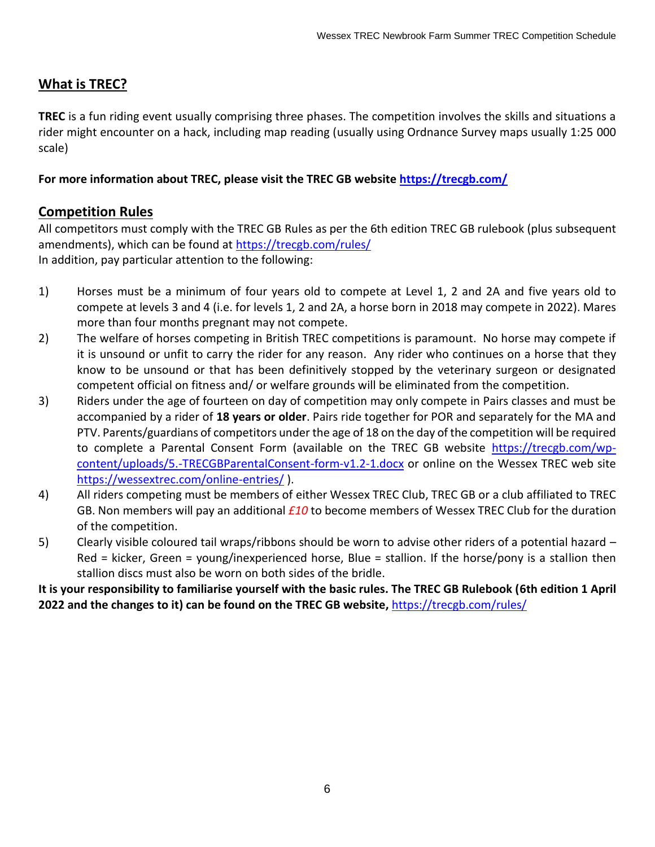#### **What is TREC?**

**TREC** is a fun riding event usually comprising three phases. The competition involves the skills and situations a rider might encounter on a hack, including map reading (usually using Ordnance Survey maps usually 1:25 000 scale)

**For more information about TREC, please visit the TREC GB website<https://trecgb.com/>**

#### **Competition Rules**

All competitors must comply with the TREC GB Rules as per the 6th edition TREC GB rulebook (plus subsequent amendments), which can be found at [https://trecgb.com/rules/](about:blank) In addition, pay particular attention to the following:

- 1) Horses must be a minimum of four years old to compete at Level 1, 2 and 2A and five years old to compete at levels 3 and 4 (i.e. for levels 1, 2 and 2A, a horse born in 2018 may compete in 2022). Mares more than four months pregnant may not compete.
- 2) The welfare of horses competing in British TREC competitions is paramount. No horse may compete if it is unsound or unfit to carry the rider for any reason. Any rider who continues on a horse that they know to be unsound or that has been definitively stopped by the veterinary surgeon or designated competent official on fitness and/ or welfare grounds will be eliminated from the competition.
- 3) Riders under the age of fourteen on day of competition may only compete in Pairs classes and must be accompanied by a rider of **18 years or older**. Pairs ride together for POR and separately for the MA and PTV. Parents/guardians of competitors under the age of 18 on the day of the competition will be required to complete a Parental Consent Form (available on the TREC GB website [https://trecgb.com/wp](https://trecgb.com/wp-content/uploads/5.-TRECGBParentalConsent-form-v1.2-1.docx)[content/uploads/5.-TRECGBParentalConsent-form-v1.2-1.docx](https://trecgb.com/wp-content/uploads/5.-TRECGBParentalConsent-form-v1.2-1.docx) or online on the Wessex TREC web site <https://wessextrec.com/online-entries/> ).
- 4) All riders competing must be members of either Wessex TREC Club, TREC GB or a club affiliated to TREC GB. Non members will pay an additional *£10* to become members of Wessex TREC Club for the duration of the competition.
- 5) Clearly visible coloured tail wraps/ribbons should be worn to advise other riders of a potential hazard Red = kicker, Green = young/inexperienced horse, Blue = stallion. If the horse/pony is a stallion then stallion discs must also be worn on both sides of the bridle.

**It is your responsibility to familiarise yourself with the basic rules. The TREC GB Rulebook (6th edition 1 April 2022 and the changes to it) can be found on the TREC GB website,** [https://trecgb.com/rules/](about:blank)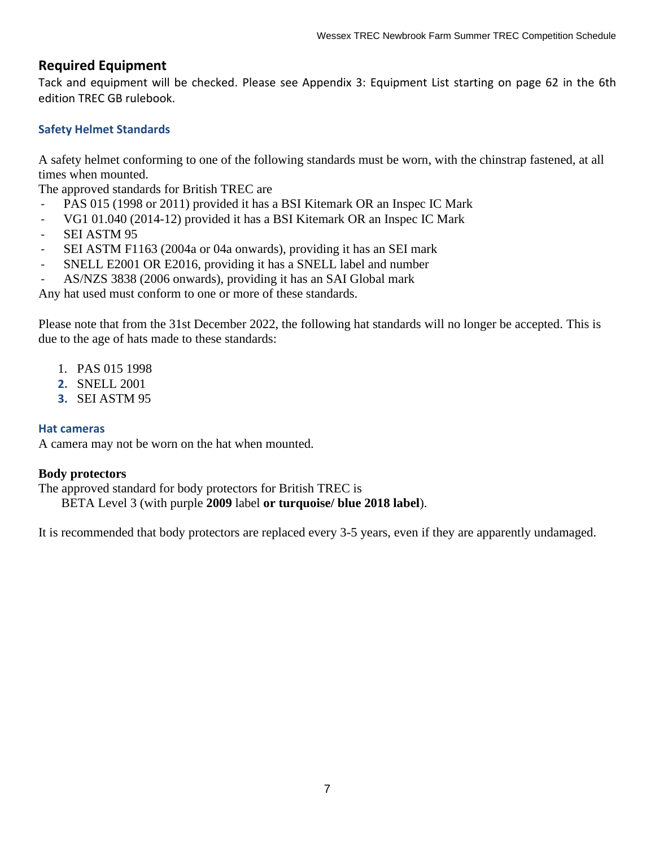#### **Required Equipment**

Tack and equipment will be checked. Please see Appendix 3: Equipment List starting on page 62 in the 6th edition TREC GB rulebook.

#### **Safety Helmet Standards**

A safety helmet conforming to one of the following standards must be worn, with the chinstrap fastened, at all times when mounted.

The approved standards for British TREC are

- PAS 015 (1998 or 2011) provided it has a BSI Kitemark OR an Inspec IC Mark
- VG1 01.040 (2014-12) provided it has a BSI Kitemark OR an Inspec IC Mark
- SEI ASTM 95
- SEI ASTM F1163 (2004a or 04a onwards), providing it has an SEI mark
- SNELL E2001 OR E2016, providing it has a SNELL label and number
- AS/NZS 3838 (2006 onwards), providing it has an SAI Global mark

Any hat used must conform to one or more of these standards.

Please note that from the 31st December 2022, the following hat standards will no longer be accepted. This is due to the age of hats made to these standards:

- 1. PAS 015 1998
- **2.** SNELL 2001
- **3.** SEI ASTM 95

#### **Hat cameras**

A camera may not be worn on the hat when mounted.

#### **Body protectors**

The approved standard for body protectors for British TREC is

BETA Level 3 (with purple **2009** label **or turquoise/ blue 2018 label**).

It is recommended that body protectors are replaced every 3-5 years, even if they are apparently undamaged.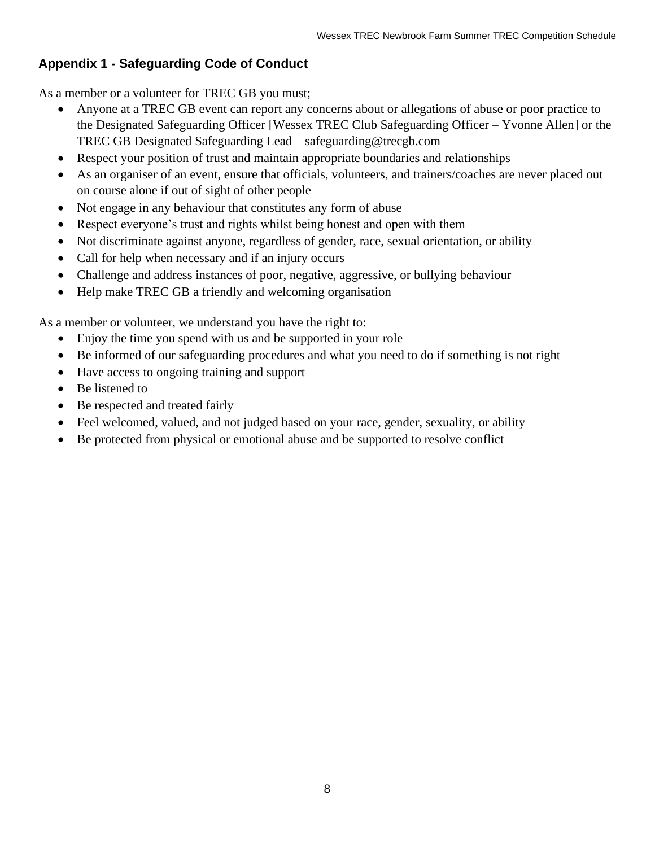#### **Appendix 1 - Safeguarding Code of Conduct**

As a member or a volunteer for TREC GB you must;

- Anyone at a TREC GB event can report any concerns about or allegations of abuse or poor practice to the Designated Safeguarding Officer [Wessex TREC Club Safeguarding Officer – Yvonne Allen] or the TREC GB Designated Safeguarding Lead – safeguarding@trecgb.com
- Respect your position of trust and maintain appropriate boundaries and relationships
- As an organiser of an event, ensure that officials, volunteers, and trainers/coaches are never placed out on course alone if out of sight of other people
- Not engage in any behaviour that constitutes any form of abuse
- Respect everyone's trust and rights whilst being honest and open with them
- Not discriminate against anyone, regardless of gender, race, sexual orientation, or ability
- Call for help when necessary and if an injury occurs
- Challenge and address instances of poor, negative, aggressive, or bullying behaviour
- Help make TREC GB a friendly and welcoming organisation

As a member or volunteer, we understand you have the right to:

- Enjoy the time you spend with us and be supported in your role
- Be informed of our safeguarding procedures and what you need to do if something is not right
- Have access to ongoing training and support
- Be listened to
- Be respected and treated fairly
- Feel welcomed, valued, and not judged based on your race, gender, sexuality, or ability
- Be protected from physical or emotional abuse and be supported to resolve conflict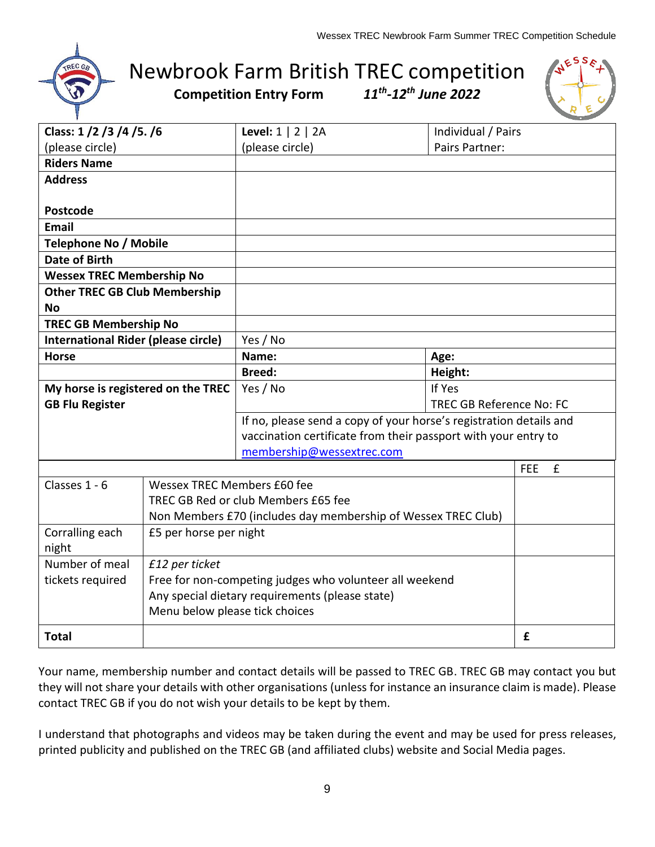

# Newbrook Farm British TREC competition

**Competition Entry Form** 

*-12th June 2022*



| Class: 1/2/3/4/5./6                        |                                                               | Level: $1 \mid 2 \mid 2A$                                          | Individual / Pairs              |                 |
|--------------------------------------------|---------------------------------------------------------------|--------------------------------------------------------------------|---------------------------------|-----------------|
| (please circle)                            |                                                               | (please circle)                                                    | Pairs Partner:                  |                 |
| <b>Riders Name</b>                         |                                                               |                                                                    |                                 |                 |
| <b>Address</b>                             |                                                               |                                                                    |                                 |                 |
|                                            |                                                               |                                                                    |                                 |                 |
| <b>Postcode</b>                            |                                                               |                                                                    |                                 |                 |
| <b>Email</b>                               |                                                               |                                                                    |                                 |                 |
| <b>Telephone No / Mobile</b>               |                                                               |                                                                    |                                 |                 |
| <b>Date of Birth</b>                       |                                                               |                                                                    |                                 |                 |
| <b>Wessex TREC Membership No</b>           |                                                               |                                                                    |                                 |                 |
| <b>Other TREC GB Club Membership</b>       |                                                               |                                                                    |                                 |                 |
| <b>No</b>                                  |                                                               |                                                                    |                                 |                 |
| <b>TREC GB Membership No</b>               |                                                               |                                                                    |                                 |                 |
| <b>International Rider (please circle)</b> |                                                               | Yes / No                                                           |                                 |                 |
| <b>Horse</b>                               |                                                               | Name:                                                              | Age:                            |                 |
|                                            |                                                               | <b>Breed:</b>                                                      | Height:                         |                 |
| My horse is registered on the TREC         |                                                               | Yes / No                                                           | If Yes                          |                 |
| <b>GB Flu Register</b>                     |                                                               |                                                                    | <b>TREC GB Reference No: FC</b> |                 |
|                                            |                                                               | If no, please send a copy of your horse's registration details and |                                 |                 |
|                                            |                                                               | vaccination certificate from their passport with your entry to     |                                 |                 |
|                                            |                                                               | membership@wessextrec.com                                          |                                 |                 |
|                                            |                                                               |                                                                    |                                 | £<br><b>FEE</b> |
| Classes 1 - 6                              | Wessex TREC Members £60 fee                                   |                                                                    |                                 |                 |
|                                            |                                                               | TREC GB Red or club Members £65 fee                                |                                 |                 |
|                                            | Non Members £70 (includes day membership of Wessex TREC Club) |                                                                    |                                 |                 |
| £5 per horse per night<br>Corralling each  |                                                               |                                                                    |                                 |                 |
| night                                      |                                                               |                                                                    |                                 |                 |
| Number of meal                             | £12 per ticket                                                |                                                                    |                                 |                 |
| tickets required                           | Free for non-competing judges who volunteer all weekend       |                                                                    |                                 |                 |
|                                            |                                                               | Any special dietary requirements (please state)                    |                                 |                 |
| Menu below please tick choices             |                                                               |                                                                    |                                 |                 |
| <b>Total</b>                               |                                                               |                                                                    |                                 | £               |

Your name, membership number and contact details will be passed to TREC GB. TREC GB may contact you but they will not share your details with other organisations (unless for instance an insurance claim is made). Please contact TREC GB if you do not wish your details to be kept by them.

I understand that photographs and videos may be taken during the event and may be used for press releases, printed publicity and published on the TREC GB (and affiliated clubs) website and Social Media pages.